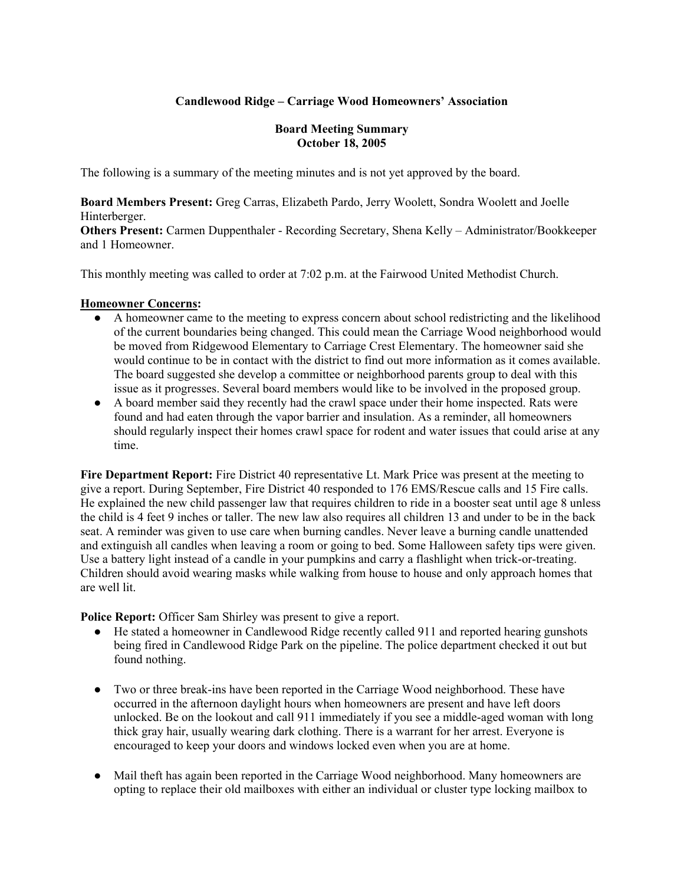### **Candlewood Ridge – Carriage Wood Homeowners' Association**

#### **Board Meeting Summary October 18, 2005**

The following is a summary of the meeting minutes and is not yet approved by the board.

**Board Members Present:** Greg Carras, Elizabeth Pardo, Jerry Woolett, Sondra Woolett and Joelle Hinterberger.

**Others Present:** Carmen Duppenthaler - Recording Secretary, Shena Kelly – Administrator/Bookkeeper and 1 Homeowner.

This monthly meeting was called to order at 7:02 p.m. at the Fairwood United Methodist Church.

#### **Homeowner Concerns:**

- A homeowner came to the meeting to express concern about school redistricting and the likelihood of the current boundaries being changed. This could mean the Carriage Wood neighborhood would be moved from Ridgewood Elementary to Carriage Crest Elementary. The homeowner said she would continue to be in contact with the district to find out more information as it comes available. The board suggested she develop a committee or neighborhood parents group to deal with this issue as it progresses. Several board members would like to be involved in the proposed group.
- A board member said they recently had the crawl space under their home inspected. Rats were found and had eaten through the vapor barrier and insulation. As a reminder, all homeowners should regularly inspect their homes crawl space for rodent and water issues that could arise at any time.

**Fire Department Report:** Fire District 40 representative Lt. Mark Price was present at the meeting to give a report. During September, Fire District 40 responded to 176 EMS/Rescue calls and 15 Fire calls. He explained the new child passenger law that requires children to ride in a booster seat until age 8 unless the child is 4 feet 9 inches or taller. The new law also requires all children 13 and under to be in the back seat. A reminder was given to use care when burning candles. Never leave a burning candle unattended and extinguish all candles when leaving a room or going to bed. Some Halloween safety tips were given. Use a battery light instead of a candle in your pumpkins and carry a flashlight when trick-or-treating. Children should avoid wearing masks while walking from house to house and only approach homes that are well lit.

**Police Report:** Officer Sam Shirley was present to give a report.

- He stated a homeowner in Candlewood Ridge recently called 911 and reported hearing gunshots being fired in Candlewood Ridge Park on the pipeline. The police department checked it out but found nothing.
- Two or three break-ins have been reported in the Carriage Wood neighborhood. These have occurred in the afternoon daylight hours when homeowners are present and have left doors unlocked. Be on the lookout and call 911 immediately if you see a middle-aged woman with long thick gray hair, usually wearing dark clothing. There is a warrant for her arrest. Everyone is encouraged to keep your doors and windows locked even when you are at home.
- Mail theft has again been reported in the Carriage Wood neighborhood. Many homeowners are opting to replace their old mailboxes with either an individual or cluster type locking mailbox to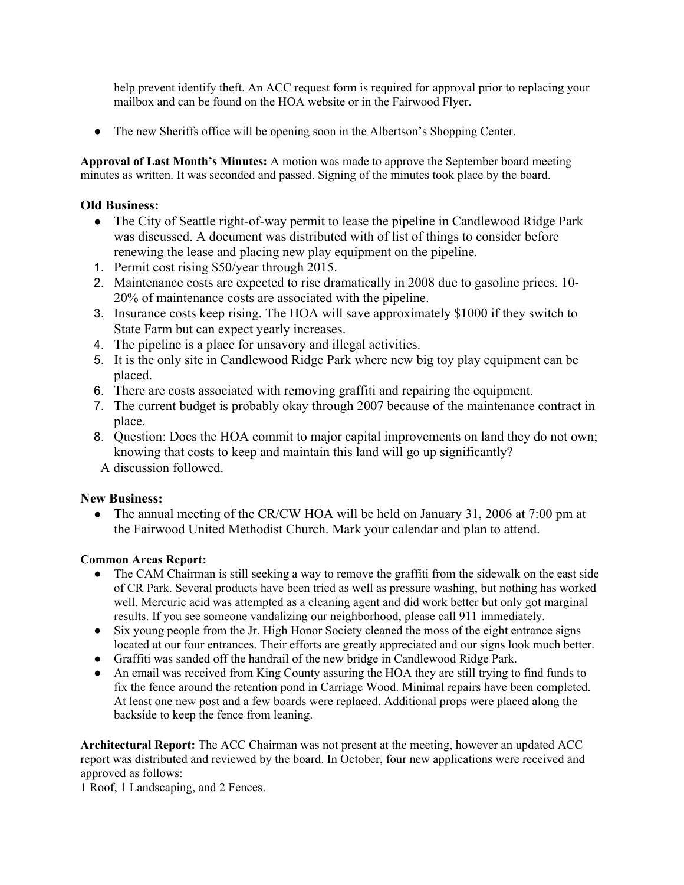help prevent identify theft. An ACC request form is required for approval prior to replacing your mailbox and can be found on the HOA website or in the Fairwood Flyer.

● The new Sheriffs office will be opening soon in the Albertson's Shopping Center.

**Approval of Last Month's Minutes:** A motion was made to approve the September board meeting minutes as written. It was seconded and passed. Signing of the minutes took place by the board.

### **Old Business:**

- The City of Seattle right-of-way permit to lease the pipeline in Candlewood Ridge Park was discussed. A document was distributed with of list of things to consider before renewing the lease and placing new play equipment on the pipeline.
- 1. Permit cost rising \$50/year through 2015.
- 2. Maintenance costs are expected to rise dramatically in 2008 due to gasoline prices. 10- 20% of maintenance costs are associated with the pipeline.
- 3. Insurance costs keep rising. The HOA will save approximately \$1000 if they switch to State Farm but can expect yearly increases.
- 4. The pipeline is a place for unsavory and illegal activities.
- 5. It is the only site in Candlewood Ridge Park where new big toy play equipment can be placed.
- 6. There are costs associated with removing graffiti and repairing the equipment.
- 7. The current budget is probably okay through 2007 because of the maintenance contract in place.
- 8. Question: Does the HOA commit to major capital improvements on land they do not own; knowing that costs to keep and maintain this land will go up significantly? A discussion followed.

#### **New Business:**

• The annual meeting of the CR/CW HOA will be held on January 31, 2006 at 7:00 pm at the Fairwood United Methodist Church. Mark your calendar and plan to attend.

#### **Common Areas Report:**

- The CAM Chairman is still seeking a way to remove the graffiti from the sidewalk on the east side of CR Park. Several products have been tried as well as pressure washing, but nothing has worked well. Mercuric acid was attempted as a cleaning agent and did work better but only got marginal results. If you see someone vandalizing our neighborhood, please call 911 immediately.
- Six young people from the Jr. High Honor Society cleaned the moss of the eight entrance signs located at our four entrances. Their efforts are greatly appreciated and our signs look much better.
- Graffiti was sanded off the handrail of the new bridge in Candlewood Ridge Park.
- An email was received from King County assuring the HOA they are still trying to find funds to fix the fence around the retention pond in Carriage Wood. Minimal repairs have been completed. At least one new post and a few boards were replaced. Additional props were placed along the backside to keep the fence from leaning.

**Architectural Report:** The ACC Chairman was not present at the meeting, however an updated ACC report was distributed and reviewed by the board. In October, four new applications were received and approved as follows:

1 Roof, 1 Landscaping, and 2 Fences.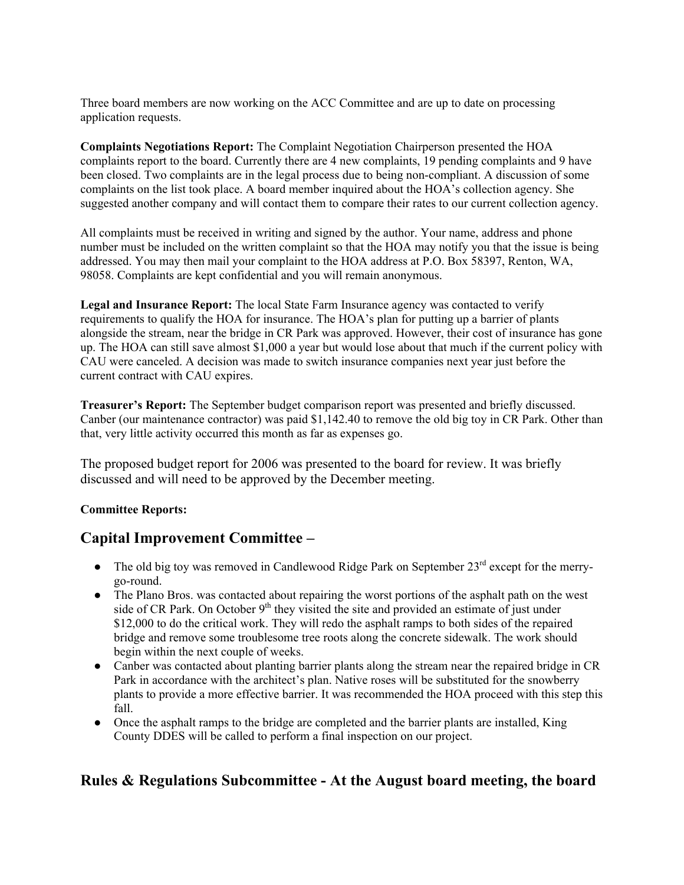Three board members are now working on the ACC Committee and are up to date on processing application requests.

**Complaints Negotiations Report:** The Complaint Negotiation Chairperson presented the HOA complaints report to the board. Currently there are 4 new complaints, 19 pending complaints and 9 have been closed. Two complaints are in the legal process due to being non-compliant. A discussion of some complaints on the list took place. A board member inquired about the HOA's collection agency. She suggested another company and will contact them to compare their rates to our current collection agency.

All complaints must be received in writing and signed by the author. Your name, address and phone number must be included on the written complaint so that the HOA may notify you that the issue is being addressed. You may then mail your complaint to the HOA address at P.O. Box 58397, Renton, WA, 98058. Complaints are kept confidential and you will remain anonymous.

**Legal and Insurance Report:** The local State Farm Insurance agency was contacted to verify requirements to qualify the HOA for insurance. The HOA's plan for putting up a barrier of plants alongside the stream, near the bridge in CR Park was approved. However, their cost of insurance has gone up. The HOA can still save almost \$1,000 a year but would lose about that much if the current policy with CAU were canceled. A decision was made to switch insurance companies next year just before the current contract with CAU expires.

**Treasurer's Report:** The September budget comparison report was presented and briefly discussed. Canber (our maintenance contractor) was paid \$1,142.40 to remove the old big toy in CR Park. Other than that, very little activity occurred this month as far as expenses go.

The proposed budget report for 2006 was presented to the board for review. It was briefly discussed and will need to be approved by the December meeting.

#### **Committee Reports:**

## **Capital Improvement Committee –**

- The old big toy was removed in Candlewood Ridge Park on September  $23<sup>rd</sup>$  except for the merrygo-round.
- The Plano Bros. was contacted about repairing the worst portions of the asphalt path on the west side of CR Park. On October  $9<sup>th</sup>$  they visited the site and provided an estimate of just under \$12,000 to do the critical work. They will redo the asphalt ramps to both sides of the repaired bridge and remove some troublesome tree roots along the concrete sidewalk. The work should begin within the next couple of weeks.
- Canber was contacted about planting barrier plants along the stream near the repaired bridge in CR Park in accordance with the architect's plan. Native roses will be substituted for the snowberry plants to provide a more effective barrier. It was recommended the HOA proceed with this step this fall.
- Once the asphalt ramps to the bridge are completed and the barrier plants are installed, King County DDES will be called to perform a final inspection on our project.

## **Rules & Regulations Subcommittee - At the August board meeting, the board**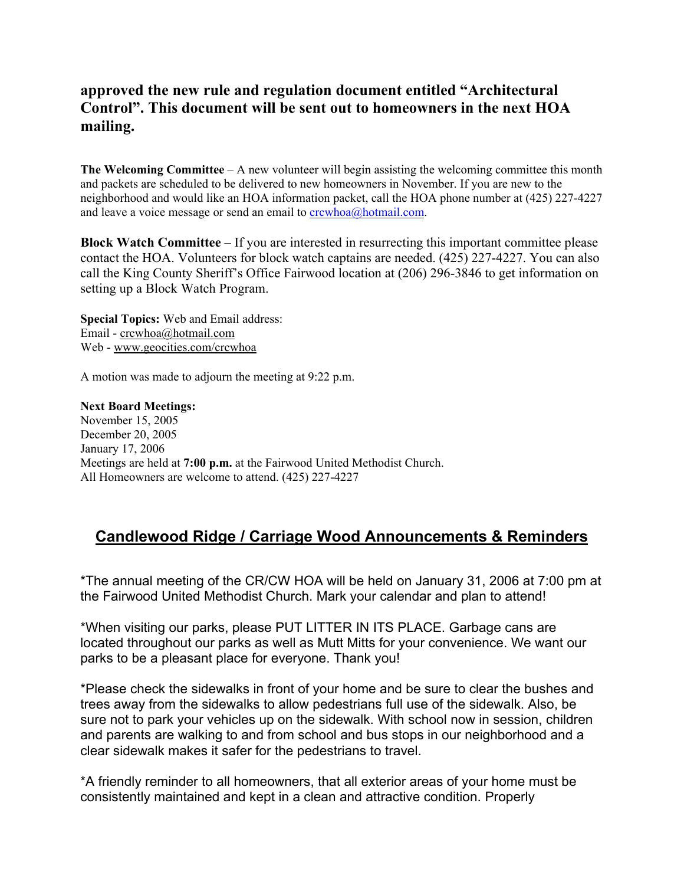# **approved the new rule and regulation document entitled "Architectural Control". This document will be sent out to homeowners in the next HOA mailing.**

**The Welcoming Committee** – A new volunteer will begin assisting the welcoming committee this month and packets are scheduled to be delivered to new homeowners in November. If you are new to the neighborhood and would like an HOA information packet, call the HOA phone number at (425) 227-4227 and leave a voice message or send an email to  $\frac{c$ rcwhoa $\omega$ hotmail.com.

**Block Watch Committee** – If you are interested in resurrecting this important committee please contact the HOA. Volunteers for block watch captains are needed. (425) 227-4227. You can also call the King County Sheriff's Office Fairwood location at (206) 296-3846 to get information on setting up a Block Watch Program.

**Special Topics:** Web and Email address: Email - crcwhoa@hotmail.com Web - www.geocities.com/crcwhoa

A motion was made to adjourn the meeting at 9:22 p.m.

**Next Board Meetings:** November 15, 2005 December 20, 2005 January 17, 2006 Meetings are held at **7:00 p.m.** at the Fairwood United Methodist Church. All Homeowners are welcome to attend. (425) 227-4227

# **Candlewood Ridge / Carriage Wood Announcements & Reminders**

\*The annual meeting of the CR/CW HOA will be held on January 31, 2006 at 7:00 pm at the Fairwood United Methodist Church. Mark your calendar and plan to attend!

\*When visiting our parks, please PUT LITTER IN ITS PLACE. Garbage cans are located throughout our parks as well as Mutt Mitts for your convenience. We want our parks to be a pleasant place for everyone. Thank you!

\*Please check the sidewalks in front of your home and be sure to clear the bushes and trees away from the sidewalks to allow pedestrians full use of the sidewalk. Also, be sure not to park your vehicles up on the sidewalk. With school now in session, children and parents are walking to and from school and bus stops in our neighborhood and a clear sidewalk makes it safer for the pedestrians to travel.

\*A friendly reminder to all homeowners, that all exterior areas of your home must be consistently maintained and kept in a clean and attractive condition. Properly